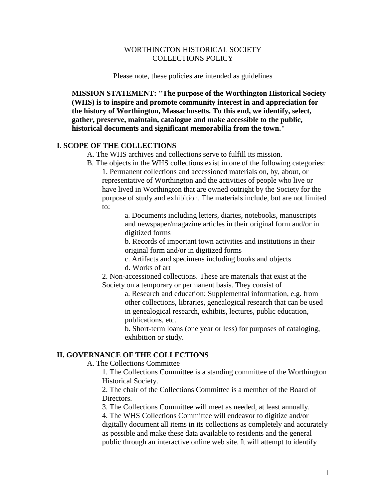# WORTHINGTON HISTORICAL SOCIETY COLLECTIONS POLICY

Please note, these policies are intended as guidelines

**MISSION STATEMENT: "The purpose of the Worthington Historical Society (WHS) is to inspire and promote community interest in and appreciation for the history of Worthington, Massachusetts. To this end, we identify, select, gather, preserve, maintain, catalogue and make accessible to the public, historical documents and significant memorabilia from the town."**

# **I. SCOPE OF THE COLLECTIONS**

- A. The WHS archives and collections serve to fulfill its mission.
- B. The objects in the WHS collections exist in one of the following categories:

1. Permanent collections and accessioned materials on, by, about, or representative of Worthington and the activities of people who live or have lived in Worthington that are owned outright by the Society for the purpose of study and exhibition. The materials include, but are not limited to:

a. Documents including letters, diaries, notebooks, manuscripts and newspaper/magazine articles in their original form and/or in digitized forms

b. Records of important town activities and institutions in their original form and/or in digitized forms

c. Artifacts and specimens including books and objects

d. Works of art

2. Non-accessioned collections. These are materials that exist at the Society on a temporary or permanent basis. They consist of

> a. Research and education: Supplemental information, e.g. from other collections, libraries, genealogical research that can be used in genealogical research, exhibits, lectures, public education, publications, etc.

b. Short-term loans (one year or less) for purposes of cataloging, exhibition or study.

### **II. GOVERNANCE OF THE COLLECTIONS**

A. The Collections Committee

1. The Collections Committee is a standing committee of the Worthington Historical Society.

2. The chair of the Collections Committee is a member of the Board of Directors.

3. The Collections Committee will meet as needed, at least annually.

4. The WHS Collections Committee will endeavor to digitize and/or digitally document all items in its collections as completely and accurately as possible and make these data available to residents and the general public through an interactive online web site. It will attempt to identify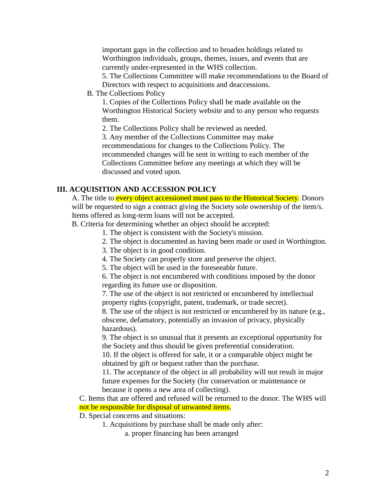important gaps in the collection and to broaden holdings related to Worthington individuals, groups, themes, issues, and events that are currently under-represented in the WHS collection.

5. The Collections Committee will make recommendations to the Board of Directors with respect to acquisitions and deaccessions.

B. The Collections Policy

1. Copies of the Collections Policy shall be made available on the Worthington Historical Society website and to any person who requests them.

2. The Collections Policy shall be reviewed as needed.

3. Any member of the Collections Committee may make recommendations for changes to the Collections Policy. The recommended changes will be sent in writing to each member of the Collections Committee before any meetings at which they will be discussed and voted upon.

# **III. ACQUISITION AND ACCESSION POLICY**

A. The title to **every object accessioned must pass to the Historical Society**. Donors will be requested to sign a contract giving the Society sole ownership of the item/s. Items offered as long-term loans will not be accepted.

B. Criteria for determining whether an object should be accepted:

- 1. The object is consistent with the Society's mission.
- 2. The object is documented as having been made or used in Worthington.
- 3. The object is in good condition.
- 4. The Society can properly store and preserve the object.
- 5. The object will be used in the foreseeable future.

6. The object is not encumbered with conditions imposed by the donor regarding its future use or disposition.

7. The use of the object is not restricted or encumbered by intellectual property rights (copyright, patent, trademark, or trade secret).

8. The use of the object is not restricted or encumbered by its nature (e.g., obscene, defamatory, potentially an invasion of privacy, physically hazardous).

9. The object is so unusual that it presents an exceptional opportunity for the Society and thus should be given preferential consideration.

10. If the object is offered for sale, it or a comparable object might be obtained by gift or bequest rather than the purchase.

11. The acceptance of the object in all probability will not result in major future expenses for the Society (for conservation or maintenance or because it opens a new area of collecting).

C. Items that are offered and refused will be returned to the donor. The WHS will not be responsible for disposal of unwanted items.

D. Special concerns and situations:

1. Acquisitions by purchase shall be made only after:

a. proper financing has been arranged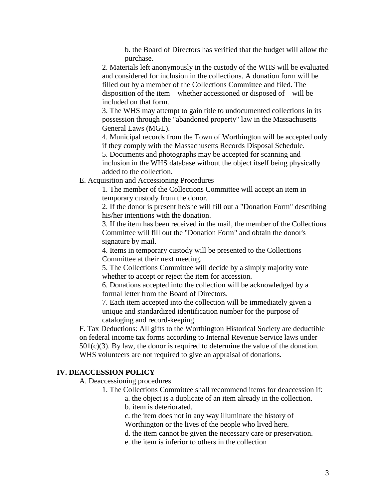b. the Board of Directors has verified that the budget will allow the purchase.

2. Materials left anonymously in the custody of the WHS will be evaluated and considered for inclusion in the collections. A donation form will be filled out by a member of the Collections Committee and filed. The disposition of the item – whether accessioned or disposed of – will be included on that form.

3. The WHS may attempt to gain title to undocumented collections in its possession through the "abandoned property" law in the Massachusetts General Laws (MGL).

4. Municipal records from the Town of Worthington will be accepted only if they comply with the Massachusetts Records Disposal Schedule.

5. Documents and photographs may be accepted for scanning and inclusion in the WHS database without the object itself being physically added to the collection.

E. Acquisition and Accessioning Procedures

1. The member of the Collections Committee will accept an item in temporary custody from the donor.

2. If the donor is present he/she will fill out a "Donation Form" describing his/her intentions with the donation.

3. If the item has been received in the mail, the member of the Collections Committee will fill out the "Donation Form" and obtain the donor's signature by mail.

4. Items in temporary custody will be presented to the Collections Committee at their next meeting.

5. The Collections Committee will decide by a simply majority vote whether to accept or reject the item for accession.

6. Donations accepted into the collection will be acknowledged by a formal letter from the Board of Directors.

7. Each item accepted into the collection will be immediately given a unique and standardized identification number for the purpose of cataloging and record-keeping.

F. Tax Deductions: All gifts to the Worthington Historical Society are deductible on federal income tax forms according to Internal Revenue Service laws under  $501(c)(3)$ . By law, the donor is required to determine the value of the donation. WHS volunteers are not required to give an appraisal of donations.

### **IV. DEACCESSION POLICY**

A. Deaccessioning procedures

- 1. The Collections Committee shall recommend items for deaccession if:
	- a. the object is a duplicate of an item already in the collection.
	- b. item is deteriorated.

c. the item does not in any way illuminate the history of

Worthington or the lives of the people who lived here.

d. the item cannot be given the necessary care or preservation.

e. the item is inferior to others in the collection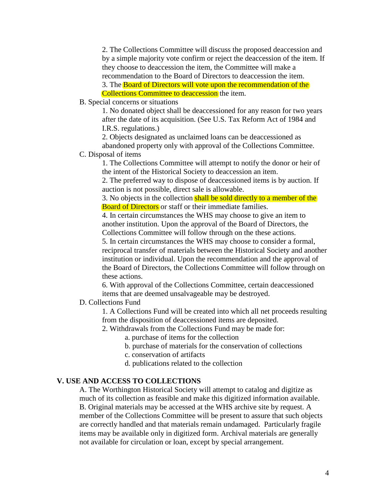2. The Collections Committee will discuss the proposed deaccession and by a simple majority vote confirm or reject the deaccession of the item. If they choose to deaccession the item, the Committee will make a recommendation to the Board of Directors to deaccession the item. 3. The Board of Directors will vote upon the recommendation of the Collections Committee to deaccession the item.

B. Special concerns or situations

1. No donated object shall be deaccessioned for any reason for two years after the date of its acquisition. (See U.S. Tax Reform Act of 1984 and I.R.S. regulations.)

2. Objects designated as unclaimed loans can be deaccessioned as abandoned property only with approval of the Collections Committee.

C. Disposal of items

1. The Collections Committee will attempt to notify the donor or heir of the intent of the Historical Society to deaccession an item.

2. The preferred way to dispose of deaccessioned items is by auction. If auction is not possible, direct sale is allowable.

3. No objects in the collection shall be sold directly to a member of the Board of Directors or staff or their immediate families.

4. In certain circumstances the WHS may choose to give an item to another institution. Upon the approval of the Board of Directors, the Collections Committee will follow through on the these actions.

5. In certain circumstances the WHS may choose to consider a formal, reciprocal transfer of materials between the Historical Society and another institution or individual. Upon the recommendation and the approval of the Board of Directors, the Collections Committee will follow through on these actions.

6. With approval of the Collections Committee, certain deaccessioned items that are deemed unsalvageable may be destroyed.

### D. Collections Fund

1. A Collections Fund will be created into which all net proceeds resulting from the disposition of deaccessioned items are deposited.

- 2. Withdrawals from the Collections Fund may be made for:
	- a. purchase of items for the collection
	- b. purchase of materials for the conservation of collections
	- c. conservation of artifacts

d. publications related to the collection

#### **V. USE AND ACCESS TO COLLECTIONS**

A. The Worthington Historical Society will attempt to catalog and digitize as much of its collection as feasible and make this digitized information available. B. Original materials may be accessed at the WHS archive site by request. A member of the Collections Committee will be present to assure that such objects are correctly handled and that materials remain undamaged. Particularly fragile items may be available only in digitized form. Archival materials are generally not available for circulation or loan, except by special arrangement.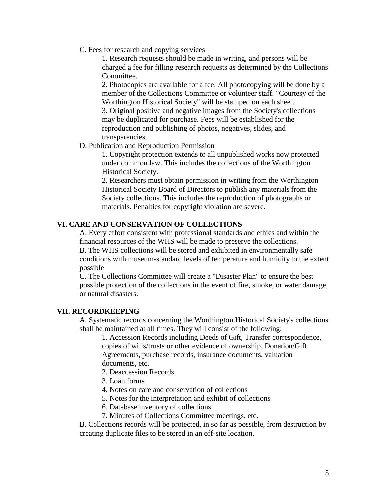C. Fees for research and copying services

1. Research requests should be made in writing, and persons will be charged a fee for filling research requests as determined by the Collections Committee.

2. Photocopies are available for a fee. All photocopying will be done by a member of the Collections Committee or volunteer staff. "Courtesy of the Worthington Historical Society" will be stamped on each sheet. 3. Original positive and negative images from the Society's collections may be duplicated for purchase. Fees will be established for the reproduction and publishing of photos, negatives, slides, and transparencies.

### D. Publication and Reproduction Permission

1. Copyright protection extends to all unpublished works now protected under common law. This includes the collections of the Worthington Historical Society.

2. Researchers must obtain permission in writing from the Worthington Historical Society Board of Directors to publish any materials from the Society collections. This includes the reproduction of photographs or materials. Penalties for copyright violation are severe.

### **VI. CARE AND CONSERVATION OF COLLECTIONS**

A. Every effort consistent with professional standards and ethics and within the financial resources of the WHS will be made to preserve the collections. B. The WHS collections will be stored and exhibited in environmentally safe conditions with museum-standard levels of temperature and humidity to the extent possible

C. The Collections Committee will create a "Disaster Plan" to ensure the best possible protection of the collections in the event of fire, smoke, or water damage, or natural disasters.

#### **VII. RECORDKEEPING**

A. Systematic records concerning the Worthington Historical Society's collections shall be maintained at all times. They will consist of the following:

1. Accession Records including Deeds of Gift, Transfer correspondence, copies of wills/trusts or other evidence of ownership, Donation/Gift Agreements, purchase records, insurance documents, valuation documents, etc.

- 2. Deaccession Records
- 3. Loan forms
- 4. Notes on care and conservation of collections
- 5. Notes for the interpretation and exhibit of collections
- 6. Database inventory of collections
- 7. Minutes of Collections Committee meetings, etc.

B. Collections records will be protected, in so far as possible, from destruction by creating duplicate files to be stored in an off-site location.